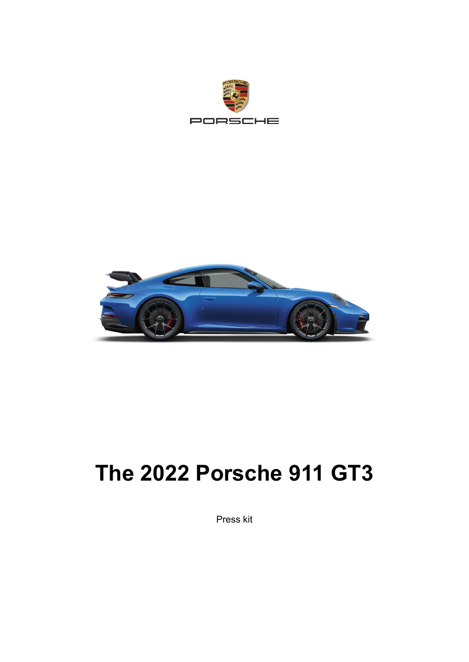



# **The 2022 Porsche 911 GT3**

Press kit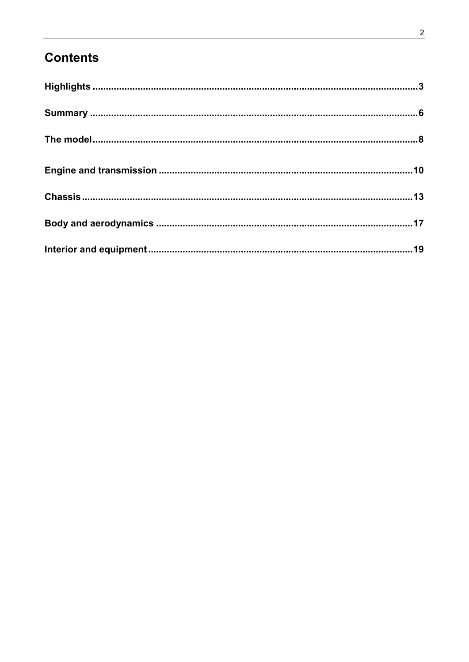# **Contents**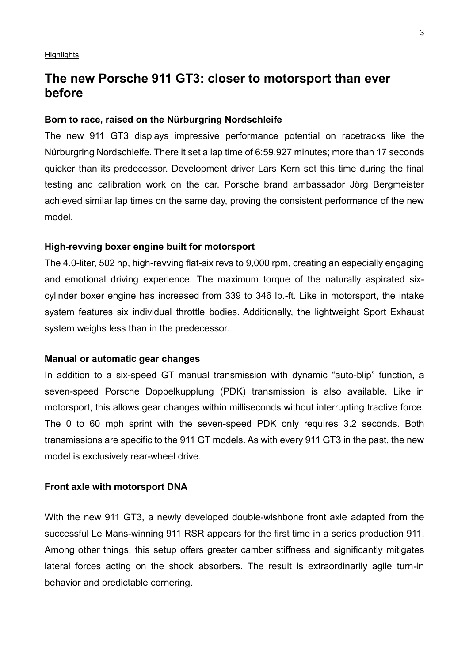#### <span id="page-2-0"></span>**Highlights**

# **The new Porsche 911 GT3: closer to motorsport than ever before**

#### **Born to race, raised on the Nürburgring Nordschleife**

The new 911 GT3 displays impressive performance potential on racetracks like the Nürburgring Nordschleife. There it set a lap time of 6:59.927 minutes; more than 17 seconds quicker than its predecessor. Development driver Lars Kern set this time during the final testing and calibration work on the car. Porsche brand ambassador Jörg Bergmeister achieved similar lap times on the same day, proving the consistent performance of the new model.

#### **High-revving boxer engine built for motorsport**

The 4.0-liter, 502 hp, high-revving flat-six revs to 9,000 rpm, creating an especially engaging and emotional driving experience. The maximum torque of the naturally aspirated sixcylinder boxer engine has increased from 339 to 346 lb.-ft. Like in motorsport, the intake system features six individual throttle bodies. Additionally, the lightweight Sport Exhaust system weighs less than in the predecessor.

## **Manual or automatic gear changes**

In addition to a six-speed GT manual transmission with dynamic "auto-blip" function, a seven-speed Porsche Doppelkupplung (PDK) transmission is also available. Like in motorsport, this allows gear changes within milliseconds without interrupting tractive force. The 0 to 60 mph sprint with the seven-speed PDK only requires 3.2 seconds. Both transmissions are specific to the 911 GT models. As with every 911 GT3 in the past, the new model is exclusively rear-wheel drive.

### **Front axle with motorsport DNA**

With the new 911 GT3, a newly developed double-wishbone front axle adapted from the successful Le Mans-winning 911 RSR appears for the first time in a series production 911. Among other things, this setup offers greater camber stiffness and significantly mitigates lateral forces acting on the shock absorbers. The result is extraordinarily agile turn-in behavior and predictable cornering.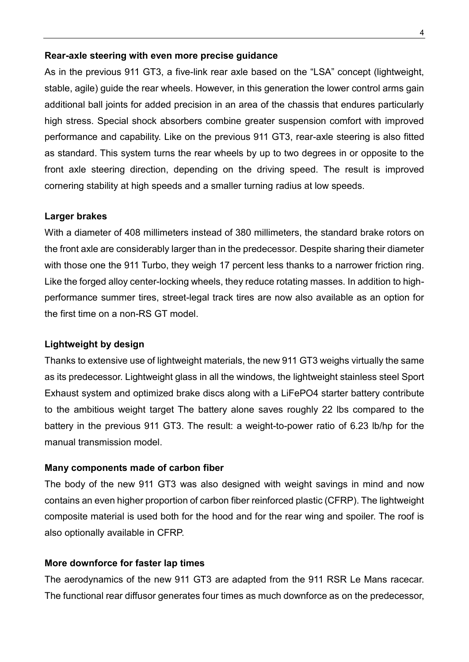## **Rear-axle steering with even more precise guidance**

As in the previous 911 GT3, a five-link rear axle based on the "LSA" concept (lightweight, stable, agile) guide the rear wheels. However, in this generation the lower control arms gain additional ball joints for added precision in an area of the chassis that endures particularly high stress. Special shock absorbers combine greater suspension comfort with improved performance and capability. Like on the previous 911 GT3, rear-axle steering is also fitted as standard. This system turns the rear wheels by up to two degrees in or opposite to the front axle steering direction, depending on the driving speed. The result is improved cornering stability at high speeds and a smaller turning radius at low speeds.

#### **Larger brakes**

With a diameter of 408 millimeters instead of 380 millimeters, the standard brake rotors on the front axle are considerably larger than in the predecessor. Despite sharing their diameter with those one the 911 Turbo, they weigh 17 percent less thanks to a narrower friction ring. Like the forged alloy center-locking wheels, they reduce rotating masses. In addition to highperformance summer tires, street-legal track tires are now also available as an option for the first time on a non-RS GT model.

## **Lightweight by design**

Thanks to extensive use of lightweight materials, the new 911 GT3 weighs virtually the same as its predecessor. Lightweight glass in all the windows, the lightweight stainless steel Sport Exhaust system and optimized brake discs along with a LiFePO4 starter battery contribute to the ambitious weight target The battery alone saves roughly 22 lbs compared to the battery in the previous 911 GT3. The result: a weight-to-power ratio of 6.23 lb/hp for the manual transmission model.

#### **Many components made of carbon fiber**

The body of the new 911 GT3 was also designed with weight savings in mind and now contains an even higher proportion of carbon fiber reinforced plastic (CFRP). The lightweight composite material is used both for the hood and for the rear wing and spoiler. The roof is also optionally available in CFRP.

#### **More downforce for faster lap times**

The aerodynamics of the new 911 GT3 are adapted from the 911 RSR Le Mans racecar. The functional rear diffusor generates four times as much downforce as on the predecessor,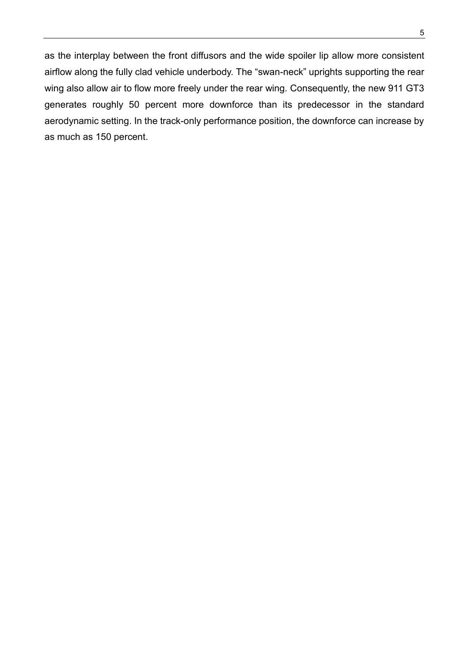as the interplay between the front diffusors and the wide spoiler lip allow more consistent airflow along the fully clad vehicle underbody. The "swan-neck" uprights supporting the rear wing also allow air to flow more freely under the rear wing. Consequently, the new 911 GT3 generates roughly 50 percent more downforce than its predecessor in the standard aerodynamic setting. In the track-only performance position, the downforce can increase by as much as 150 percent.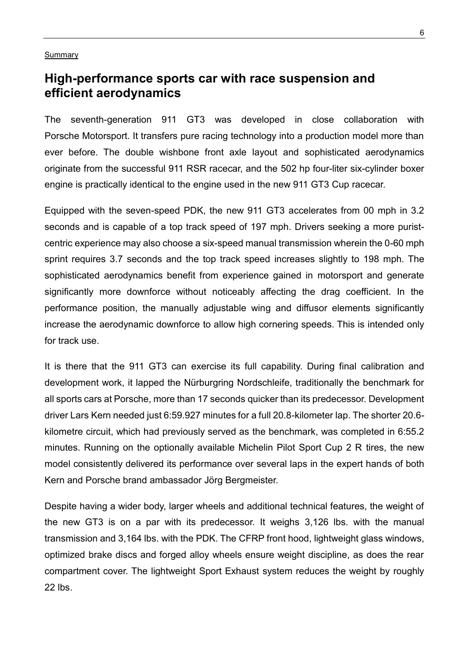#### <span id="page-5-0"></span>**Summary**

# **High-performance sports car with race suspension and efficient aerodynamics**

The seventh-generation 911 GT3 was developed in close collaboration with Porsche Motorsport. It transfers pure racing technology into a production model more than ever before. The double wishbone front axle layout and sophisticated aerodynamics originate from the successful 911 RSR racecar, and the 502 hp four-liter six-cylinder boxer engine is practically identical to the engine used in the new 911 GT3 Cup racecar.

Equipped with the seven-speed PDK, the new 911 GT3 accelerates from 00 mph in 3.2 seconds and is capable of a top track speed of 197 mph. Drivers seeking a more puristcentric experience may also choose a six-speed manual transmission wherein the 0-60 mph sprint requires 3.7 seconds and the top track speed increases slightly to 198 mph. The sophisticated aerodynamics benefit from experience gained in motorsport and generate significantly more downforce without noticeably affecting the drag coefficient. In the performance position, the manually adjustable wing and diffusor elements significantly increase the aerodynamic downforce to allow high cornering speeds. This is intended only for track use.

It is there that the 911 GT3 can exercise its full capability. During final calibration and development work, it lapped the Nürburgring Nordschleife, traditionally the benchmark for all sports cars at Porsche, more than 17 seconds quicker than its predecessor. Development driver Lars Kern needed just 6:59.927 minutes for a full 20.8-kilometer lap. The shorter 20.6 kilometre circuit, which had previously served as the benchmark, was completed in 6:55.2 minutes. Running on the optionally available Michelin Pilot Sport Cup 2 R tires, the new model consistently delivered its performance over several laps in the expert hands of both Kern and Porsche brand ambassador Jörg Bergmeister.

Despite having a wider body, larger wheels and additional technical features, the weight of the new GT3 is on a par with its predecessor. It weighs 3,126 lbs. with the manual transmission and 3,164 lbs. with the PDK. The CFRP front hood, lightweight glass windows, optimized brake discs and forged alloy wheels ensure weight discipline, as does the rear compartment cover. The lightweight Sport Exhaust system reduces the weight by roughly 22 lbs.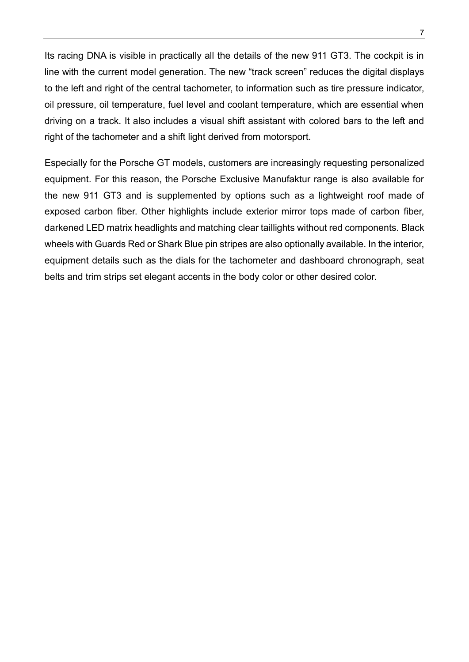Its racing DNA is visible in practically all the details of the new 911 GT3. The cockpit is in line with the current model generation. The new "track screen" reduces the digital displays to the left and right of the central tachometer, to information such as tire pressure indicator, oil pressure, oil temperature, fuel level and coolant temperature, which are essential when driving on a track. It also includes a visual shift assistant with colored bars to the left and right of the tachometer and a shift light derived from motorsport.

Especially for the Porsche GT models, customers are increasingly requesting personalized equipment. For this reason, the Porsche Exclusive Manufaktur range is also available for the new 911 GT3 and is supplemented by options such as a lightweight roof made of exposed carbon fiber. Other highlights include exterior mirror tops made of carbon fiber, darkened LED matrix headlights and matching clear taillights without red components. Black wheels with Guards Red or Shark Blue pin stripes are also optionally available. In the interior, equipment details such as the dials for the tachometer and dashboard chronograph, seat belts and trim strips set elegant accents in the body color or other desired color.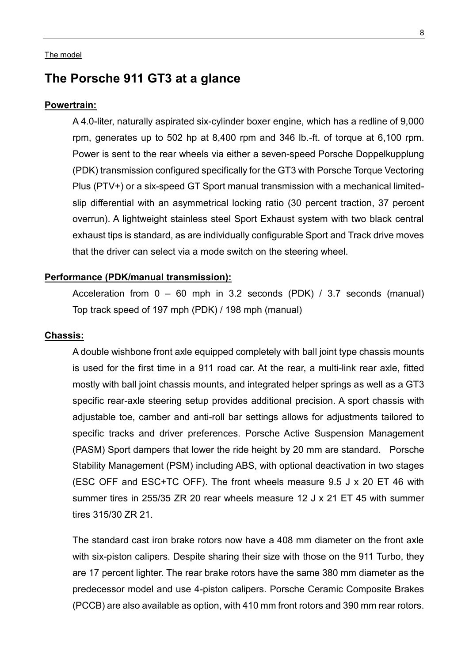#### <span id="page-7-0"></span>The model

# **The Porsche 911 GT3 at a glance**

#### **Powertrain:**

A 4.0-liter, naturally aspirated six-cylinder boxer engine, which has a redline of 9,000 rpm, generates up to 502 hp at 8,400 rpm and 346 lb.-ft. of torque at 6,100 rpm. Power is sent to the rear wheels via either a seven-speed Porsche Doppelkupplung (PDK) transmission configured specifically for the GT3 with Porsche Torque Vectoring Plus (PTV+) or a six-speed GT Sport manual transmission with a mechanical limitedslip differential with an asymmetrical locking ratio (30 percent traction, 37 percent overrun). A lightweight stainless steel Sport Exhaust system with two black central exhaust tips is standard, as are individually configurable Sport and Track drive moves that the driver can select via a mode switch on the steering wheel.

## **Performance (PDK/manual transmission):**

Acceleration from 0 – 60 mph in 3.2 seconds (PDK) / 3.7 seconds (manual) Top track speed of 197 mph (PDK) / 198 mph (manual)

#### **Chassis:**

A double wishbone front axle equipped completely with ball joint type chassis mounts is used for the first time in a 911 road car. At the rear, a multi-link rear axle, fitted mostly with ball joint chassis mounts, and integrated helper springs as well as a GT3 specific rear-axle steering setup provides additional precision. A sport chassis with adjustable toe, camber and anti-roll bar settings allows for adjustments tailored to specific tracks and driver preferences. Porsche Active Suspension Management (PASM) Sport dampers that lower the ride height by 20 mm are standard. Porsche Stability Management (PSM) including ABS, with optional deactivation in two stages (ESC OFF and ESC+TC OFF). The front wheels measure 9.5 J x 20 ET 46 with summer tires in 255/35 ZR 20 rear wheels measure 12 J x 21 ET 45 with summer tires 315/30 ZR 21.

The standard cast iron brake rotors now have a 408 mm diameter on the front axle with six-piston calipers. Despite sharing their size with those on the 911 Turbo, they are 17 percent lighter. The rear brake rotors have the same 380 mm diameter as the predecessor model and use 4-piston calipers. Porsche Ceramic Composite Brakes (PCCB) are also available as option, with 410 mm front rotors and 390 mm rear rotors.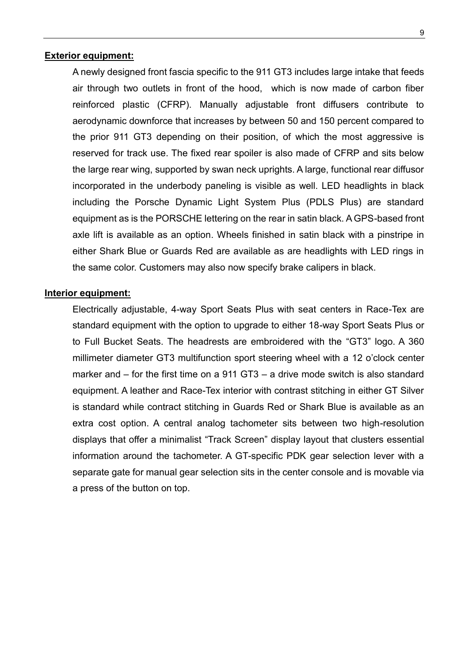## **Exterior equipment:**

A newly designed front fascia specific to the 911 GT3 includes large intake that feeds air through two outlets in front of the hood, which is now made of carbon fiber reinforced plastic (CFRP). Manually adjustable front diffusers contribute to aerodynamic downforce that increases by between 50 and 150 percent compared to the prior 911 GT3 depending on their position, of which the most aggressive is reserved for track use. The fixed rear spoiler is also made of CFRP and sits below the large rear wing, supported by swan neck uprights. A large, functional rear diffusor incorporated in the underbody paneling is visible as well. LED headlights in black including the Porsche Dynamic Light System Plus (PDLS Plus) are standard equipment as is the PORSCHE lettering on the rear in satin black. A GPS-based front axle lift is available as an option. Wheels finished in satin black with a pinstripe in either Shark Blue or Guards Red are available as are headlights with LED rings in the same color. Customers may also now specify brake calipers in black.

#### **Interior equipment:**

Electrically adjustable, 4-way Sport Seats Plus with seat centers in Race-Tex are standard equipment with the option to upgrade to either 18-way Sport Seats Plus or to Full Bucket Seats. The headrests are embroidered with the "GT3" logo. A 360 millimeter diameter GT3 multifunction sport steering wheel with a 12 o'clock center marker and – for the first time on a 911 GT3 – a drive mode switch is also standard equipment. A leather and Race-Tex interior with contrast stitching in either GT Silver is standard while contract stitching in Guards Red or Shark Blue is available as an extra cost option. A central analog tachometer sits between two high-resolution displays that offer a minimalist "Track Screen" display layout that clusters essential information around the tachometer. A GT-specific PDK gear selection lever with a separate gate for manual gear selection sits in the center console and is movable via a press of the button on top.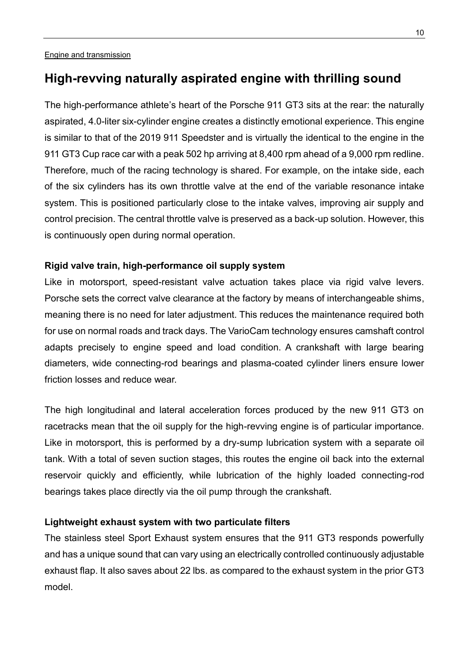# <span id="page-9-0"></span>**High-revving naturally aspirated engine with thrilling sound**

The high-performance athlete's heart of the Porsche 911 GT3 sits at the rear: the naturally aspirated, 4.0-liter six-cylinder engine creates a distinctly emotional experience. This engine is similar to that of the 2019 911 Speedster and is virtually the identical to the engine in the 911 GT3 Cup race car with a peak 502 hp arriving at 8,400 rpm ahead of a 9,000 rpm redline. Therefore, much of the racing technology is shared. For example, on the intake side, each of the six cylinders has its own throttle valve at the end of the variable resonance intake system. This is positioned particularly close to the intake valves, improving air supply and control precision. The central throttle valve is preserved as a back-up solution. However, this is continuously open during normal operation.

## **Rigid valve train, high-performance oil supply system**

Like in motorsport, speed-resistant valve actuation takes place via rigid valve levers. Porsche sets the correct valve clearance at the factory by means of interchangeable shims, meaning there is no need for later adjustment. This reduces the maintenance required both for use on normal roads and track days. The VarioCam technology ensures camshaft control adapts precisely to engine speed and load condition. A crankshaft with large bearing diameters, wide connecting-rod bearings and plasma-coated cylinder liners ensure lower friction losses and reduce wear.

The high longitudinal and lateral acceleration forces produced by the new 911 GT3 on racetracks mean that the oil supply for the high-revving engine is of particular importance. Like in motorsport, this is performed by a dry-sump lubrication system with a separate oil tank. With a total of seven suction stages, this routes the engine oil back into the external reservoir quickly and efficiently, while lubrication of the highly loaded connecting-rod bearings takes place directly via the oil pump through the crankshaft.

## **Lightweight exhaust system with two particulate filters**

The stainless steel Sport Exhaust system ensures that the 911 GT3 responds powerfully and has a unique sound that can vary using an electrically controlled continuously adjustable exhaust flap. It also saves about 22 lbs. as compared to the exhaust system in the prior GT3 model.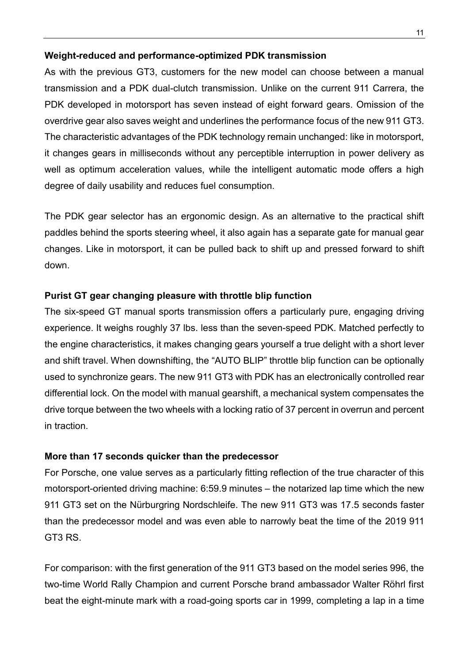## **Weight-reduced and performance-optimized PDK transmission**

As with the previous GT3, customers for the new model can choose between a manual transmission and a PDK dual-clutch transmission. Unlike on the current 911 Carrera, the PDK developed in motorsport has seven instead of eight forward gears. Omission of the overdrive gear also saves weight and underlines the performance focus of the new 911 GT3. The characteristic advantages of the PDK technology remain unchanged: like in motorsport, it changes gears in milliseconds without any perceptible interruption in power delivery as well as optimum acceleration values, while the intelligent automatic mode offers a high degree of daily usability and reduces fuel consumption.

The PDK gear selector has an ergonomic design. As an alternative to the practical shift paddles behind the sports steering wheel, it also again has a separate gate for manual gear changes. Like in motorsport, it can be pulled back to shift up and pressed forward to shift down.

## **Purist GT gear changing pleasure with throttle blip function**

The six-speed GT manual sports transmission offers a particularly pure, engaging driving experience. It weighs roughly 37 lbs. less than the seven-speed PDK. Matched perfectly to the engine characteristics, it makes changing gears yourself a true delight with a short lever and shift travel. When downshifting, the "AUTO BLIP" throttle blip function can be optionally used to synchronize gears. The new 911 GT3 with PDK has an electronically controlled rear differential lock. On the model with manual gearshift, a mechanical system compensates the drive torque between the two wheels with a locking ratio of 37 percent in overrun and percent in traction.

## **More than 17 seconds quicker than the predecessor**

For Porsche, one value serves as a particularly fitting reflection of the true character of this motorsport-oriented driving machine: 6:59.9 minutes – the notarized lap time which the new 911 GT3 set on the Nürburgring Nordschleife. The new 911 GT3 was 17.5 seconds faster than the predecessor model and was even able to narrowly beat the time of the 2019 911 GT3 RS.

For comparison: with the first generation of the 911 GT3 based on the model series 996, the two-time World Rally Champion and current Porsche brand ambassador Walter Röhrl first beat the eight-minute mark with a road-going sports car in 1999, completing a lap in a time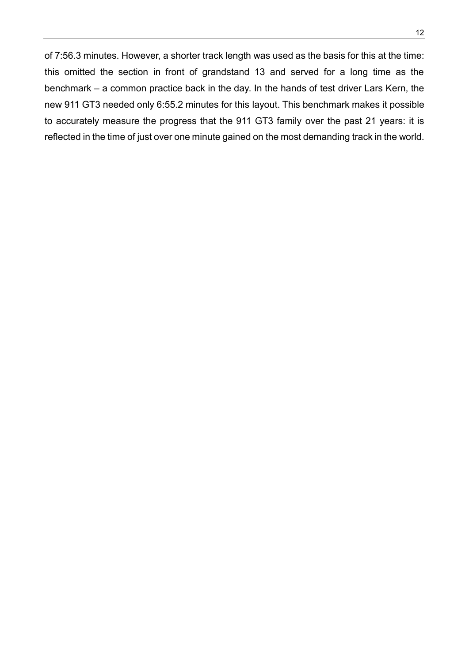of 7:56.3 minutes. However, a shorter track length was used as the basis for this at the time: this omitted the section in front of grandstand 13 and served for a long time as the

benchmark – a common practice back in the day. In the hands of test driver Lars Kern, the new 911 GT3 needed only 6:55.2 minutes for this layout. This benchmark makes it possible to accurately measure the progress that the 911 GT3 family over the past 21 years: it is reflected in the time of just over one minute gained on the most demanding track in the world.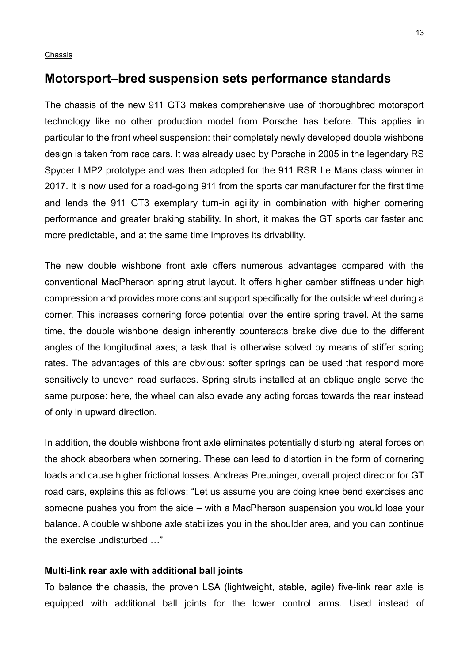#### <span id="page-12-0"></span>Chassis

## **Motorsport–bred suspension sets performance standards**

The chassis of the new 911 GT3 makes comprehensive use of thoroughbred motorsport technology like no other production model from Porsche has before. This applies in particular to the front wheel suspension: their completely newly developed double wishbone design is taken from race cars. It was already used by Porsche in 2005 in the legendary RS Spyder LMP2 prototype and was then adopted for the 911 RSR Le Mans class winner in 2017. It is now used for a road-going 911 from the sports car manufacturer for the first time and lends the 911 GT3 exemplary turn-in agility in combination with higher cornering performance and greater braking stability. In short, it makes the GT sports car faster and more predictable, and at the same time improves its drivability.

The new double wishbone front axle offers numerous advantages compared with the conventional MacPherson spring strut layout. It offers higher camber stiffness under high compression and provides more constant support specifically for the outside wheel during a corner. This increases cornering force potential over the entire spring travel. At the same time, the double wishbone design inherently counteracts brake dive due to the different angles of the longitudinal axes; a task that is otherwise solved by means of stiffer spring rates. The advantages of this are obvious: softer springs can be used that respond more sensitively to uneven road surfaces. Spring struts installed at an oblique angle serve the same purpose: here, the wheel can also evade any acting forces towards the rear instead of only in upward direction.

In addition, the double wishbone front axle eliminates potentially disturbing lateral forces on the shock absorbers when cornering. These can lead to distortion in the form of cornering loads and cause higher frictional losses. Andreas Preuninger, overall project director for GT road cars, explains this as follows: "Let us assume you are doing knee bend exercises and someone pushes you from the side – with a MacPherson suspension you would lose your balance. A double wishbone axle stabilizes you in the shoulder area, and you can continue the exercise undisturbed …"

## **Multi-link rear axle with additional ball joints**

To balance the chassis, the proven LSA (lightweight, stable, agile) five-link rear axle is equipped with additional ball joints for the lower control arms. Used instead of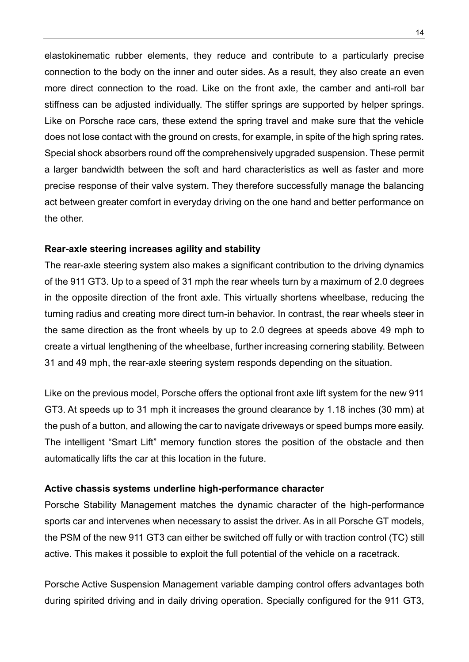elastokinematic rubber elements, they reduce and contribute to a particularly precise connection to the body on the inner and outer sides. As a result, they also create an even more direct connection to the road. Like on the front axle, the camber and anti-roll bar stiffness can be adjusted individually. The stiffer springs are supported by helper springs. Like on Porsche race cars, these extend the spring travel and make sure that the vehicle does not lose contact with the ground on crests, for example, in spite of the high spring rates. Special shock absorbers round off the comprehensively upgraded suspension. These permit a larger bandwidth between the soft and hard characteristics as well as faster and more precise response of their valve system. They therefore successfully manage the balancing act between greater comfort in everyday driving on the one hand and better performance on the other.

## **Rear-axle steering increases agility and stability**

The rear-axle steering system also makes a significant contribution to the driving dynamics of the 911 GT3. Up to a speed of 31 mph the rear wheels turn by a maximum of 2.0 degrees in the opposite direction of the front axle. This virtually shortens wheelbase, reducing the turning radius and creating more direct turn-in behavior. In contrast, the rear wheels steer in the same direction as the front wheels by up to 2.0 degrees at speeds above 49 mph to create a virtual lengthening of the wheelbase, further increasing cornering stability. Between 31 and 49 mph, the rear-axle steering system responds depending on the situation.

Like on the previous model, Porsche offers the optional front axle lift system for the new 911 GT3. At speeds up to 31 mph it increases the ground clearance by 1.18 inches (30 mm) at the push of a button, and allowing the car to navigate driveways or speed bumps more easily. The intelligent "Smart Lift" memory function stores the position of the obstacle and then automatically lifts the car at this location in the future.

## **Active chassis systems underline high-performance character**

Porsche Stability Management matches the dynamic character of the high-performance sports car and intervenes when necessary to assist the driver. As in all Porsche GT models, the PSM of the new 911 GT3 can either be switched off fully or with traction control (TC) still active. This makes it possible to exploit the full potential of the vehicle on a racetrack.

Porsche Active Suspension Management variable damping control offers advantages both during spirited driving and in daily driving operation. Specially configured for the 911 GT3,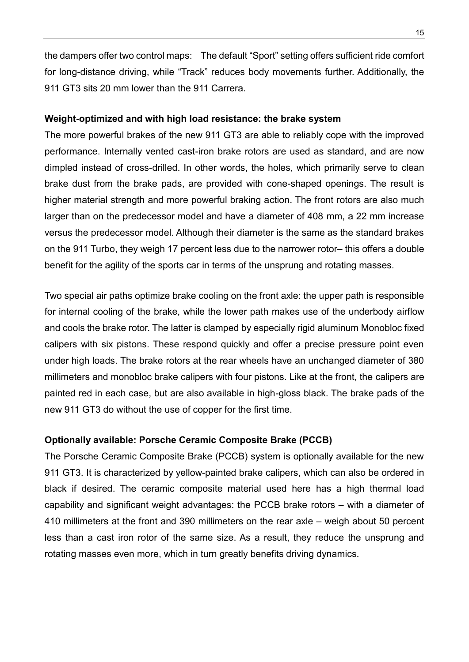the dampers offer two control maps: The default "Sport" setting offers sufficient ride comfort for long-distance driving, while "Track" reduces body movements further. Additionally, the 911 GT3 sits 20 mm lower than the 911 Carrera.

## **Weight-optimized and with high load resistance: the brake system**

The more powerful brakes of the new 911 GT3 are able to reliably cope with the improved performance. Internally vented cast-iron brake rotors are used as standard, and are now dimpled instead of cross-drilled. In other words, the holes, which primarily serve to clean brake dust from the brake pads, are provided with cone-shaped openings. The result is higher material strength and more powerful braking action. The front rotors are also much larger than on the predecessor model and have a diameter of 408 mm, a 22 mm increase versus the predecessor model. Although their diameter is the same as the standard brakes on the 911 Turbo, they weigh 17 percent less due to the narrower rotor– this offers a double benefit for the agility of the sports car in terms of the unsprung and rotating masses.

Two special air paths optimize brake cooling on the front axle: the upper path is responsible for internal cooling of the brake, while the lower path makes use of the underbody airflow and cools the brake rotor. The latter is clamped by especially rigid aluminum Monobloc fixed calipers with six pistons. These respond quickly and offer a precise pressure point even under high loads. The brake rotors at the rear wheels have an unchanged diameter of 380 millimeters and monobloc brake calipers with four pistons. Like at the front, the calipers are painted red in each case, but are also available in high-gloss black. The brake pads of the new 911 GT3 do without the use of copper for the first time.

## **Optionally available: Porsche Ceramic Composite Brake (PCCB)**

The Porsche Ceramic Composite Brake (PCCB) system is optionally available for the new 911 GT3. It is characterized by yellow-painted brake calipers, which can also be ordered in black if desired. The ceramic composite material used here has a high thermal load capability and significant weight advantages: the PCCB brake rotors – with a diameter of 410 millimeters at the front and 390 millimeters on the rear axle – weigh about 50 percent less than a cast iron rotor of the same size. As a result, they reduce the unsprung and rotating masses even more, which in turn greatly benefits driving dynamics.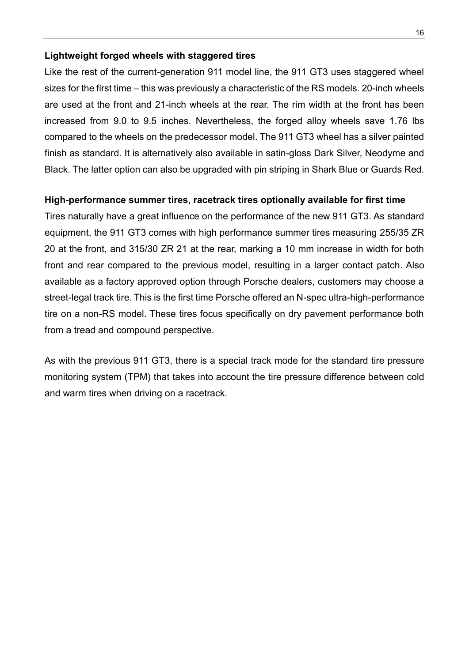## **Lightweight forged wheels with staggered tires**

Like the rest of the current-generation 911 model line, the 911 GT3 uses staggered wheel sizes for the first time – this was previously a characteristic of the RS models. 20-inch wheels are used at the front and 21-inch wheels at the rear. The rim width at the front has been increased from 9.0 to 9.5 inches. Nevertheless, the forged alloy wheels save 1.76 lbs compared to the wheels on the predecessor model. The 911 GT3 wheel has a silver painted finish as standard. It is alternatively also available in satin-gloss Dark Silver, Neodyme and Black. The latter option can also be upgraded with pin striping in Shark Blue or Guards Red.

## **High-performance summer tires, racetrack tires optionally available for first time**

Tires naturally have a great influence on the performance of the new 911 GT3. As standard equipment, the 911 GT3 comes with high performance summer tires measuring 255/35 ZR 20 at the front, and 315/30 ZR 21 at the rear, marking a 10 mm increase in width for both front and rear compared to the previous model, resulting in a larger contact patch. Also available as a factory approved option through Porsche dealers, customers may choose a street-legal track tire. This is the first time Porsche offered an N-spec ultra-high-performance tire on a non-RS model. These tires focus specifically on dry pavement performance both from a tread and compound perspective.

As with the previous 911 GT3, there is a special track mode for the standard tire pressure monitoring system (TPM) that takes into account the tire pressure difference between cold and warm tires when driving on a racetrack.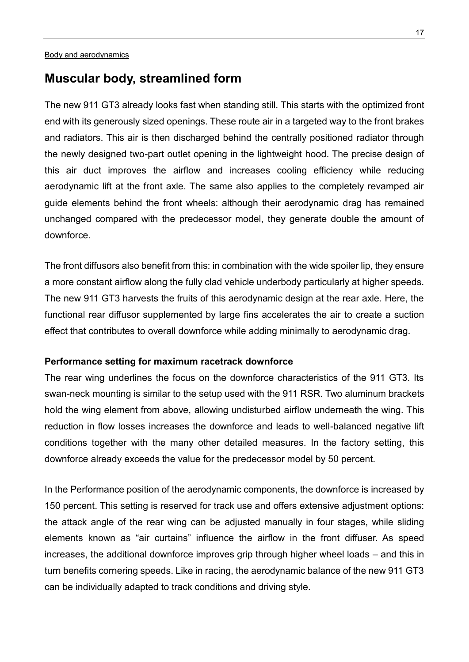# <span id="page-16-0"></span>**Muscular body, streamlined form**

The new 911 GT3 already looks fast when standing still. This starts with the optimized front end with its generously sized openings. These route air in a targeted way to the front brakes and radiators. This air is then discharged behind the centrally positioned radiator through the newly designed two-part outlet opening in the lightweight hood. The precise design of this air duct improves the airflow and increases cooling efficiency while reducing aerodynamic lift at the front axle. The same also applies to the completely revamped air guide elements behind the front wheels: although their aerodynamic drag has remained unchanged compared with the predecessor model, they generate double the amount of downforce.

The front diffusors also benefit from this: in combination with the wide spoiler lip, they ensure a more constant airflow along the fully clad vehicle underbody particularly at higher speeds. The new 911 GT3 harvests the fruits of this aerodynamic design at the rear axle. Here, the functional rear diffusor supplemented by large fins accelerates the air to create a suction effect that contributes to overall downforce while adding minimally to aerodynamic drag.

## **Performance setting for maximum racetrack downforce**

The rear wing underlines the focus on the downforce characteristics of the 911 GT3. Its swan-neck mounting is similar to the setup used with the 911 RSR. Two aluminum brackets hold the wing element from above, allowing undisturbed airflow underneath the wing. This reduction in flow losses increases the downforce and leads to well-balanced negative lift conditions together with the many other detailed measures. In the factory setting, this downforce already exceeds the value for the predecessor model by 50 percent.

In the Performance position of the aerodynamic components, the downforce is increased by 150 percent. This setting is reserved for track use and offers extensive adjustment options: the attack angle of the rear wing can be adjusted manually in four stages, while sliding elements known as "air curtains" influence the airflow in the front diffuser. As speed increases, the additional downforce improves grip through higher wheel loads – and this in turn benefits cornering speeds. Like in racing, the aerodynamic balance of the new 911 GT3 can be individually adapted to track conditions and driving style.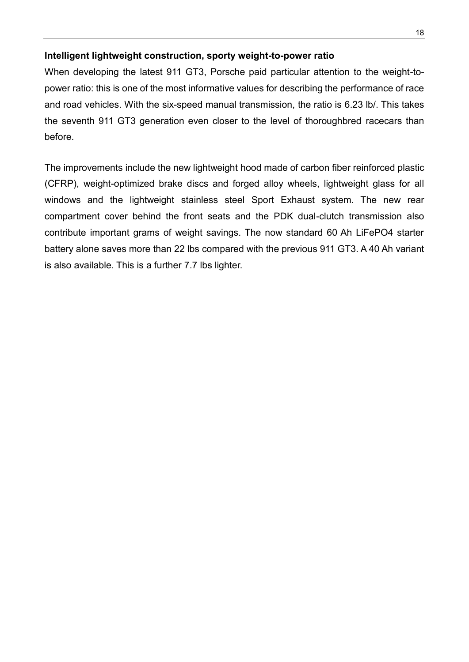## **Intelligent lightweight construction, sporty weight-to-power ratio**

When developing the latest 911 GT3, Porsche paid particular attention to the weight-topower ratio: this is one of the most informative values for describing the performance of race and road vehicles. With the six-speed manual transmission, the ratio is 6.23 lb/. This takes the seventh 911 GT3 generation even closer to the level of thoroughbred racecars than before.

The improvements include the new lightweight hood made of carbon fiber reinforced plastic (CFRP), weight-optimized brake discs and forged alloy wheels, lightweight glass for all windows and the lightweight stainless steel Sport Exhaust system. The new rear compartment cover behind the front seats and the PDK dual-clutch transmission also contribute important grams of weight savings. The now standard 60 Ah LiFePO4 starter battery alone saves more than 22 lbs compared with the previous 911 GT3. A 40 Ah variant is also available. This is a further 7.7 lbs lighter.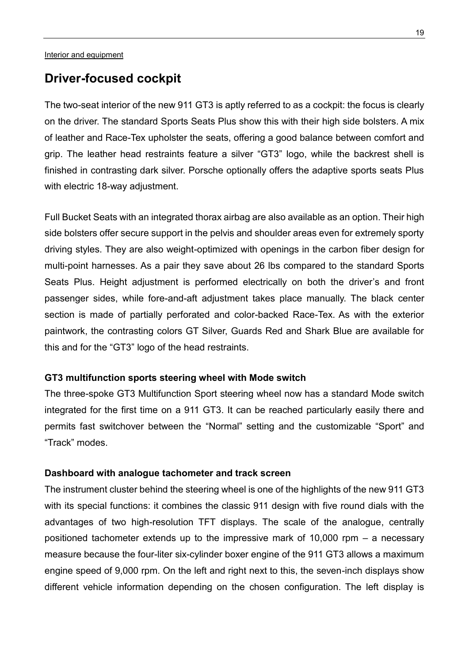# <span id="page-18-0"></span>**Driver-focused cockpit**

The two-seat interior of the new 911 GT3 is aptly referred to as a cockpit: the focus is clearly on the driver. The standard Sports Seats Plus show this with their high side bolsters. A mix of leather and Race-Tex upholster the seats, offering a good balance between comfort and grip. The leather head restraints feature a silver "GT3" logo, while the backrest shell is finished in contrasting dark silver. Porsche optionally offers the adaptive sports seats Plus with electric 18-way adjustment.

Full Bucket Seats with an integrated thorax airbag are also available as an option. Their high side bolsters offer secure support in the pelvis and shoulder areas even for extremely sporty driving styles. They are also weight-optimized with openings in the carbon fiber design for multi-point harnesses. As a pair they save about 26 lbs compared to the standard Sports Seats Plus. Height adjustment is performed electrically on both the driver's and front passenger sides, while fore-and-aft adjustment takes place manually. The black center section is made of partially perforated and color-backed Race-Tex. As with the exterior paintwork, the contrasting colors GT Silver, Guards Red and Shark Blue are available for this and for the "GT3" logo of the head restraints.

## **GT3 multifunction sports steering wheel with Mode switch**

The three-spoke GT3 Multifunction Sport steering wheel now has a standard Mode switch integrated for the first time on a 911 GT3. It can be reached particularly easily there and permits fast switchover between the "Normal" setting and the customizable "Sport" and "Track" modes.

## **Dashboard with analogue tachometer and track screen**

The instrument cluster behind the steering wheel is one of the highlights of the new 911 GT3 with its special functions: it combines the classic 911 design with five round dials with the advantages of two high-resolution TFT displays. The scale of the analogue, centrally positioned tachometer extends up to the impressive mark of 10,000 rpm – a necessary measure because the four-liter six-cylinder boxer engine of the 911 GT3 allows a maximum engine speed of 9,000 rpm. On the left and right next to this, the seven-inch displays show different vehicle information depending on the chosen configuration. The left display is